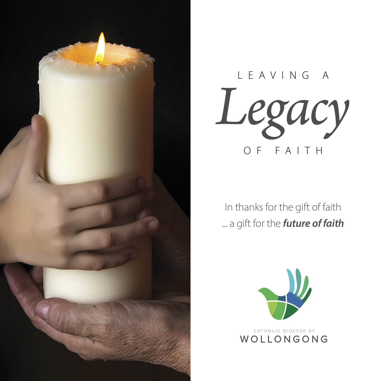



In thanks for the gift of faith ... a gift for the *future of faith*

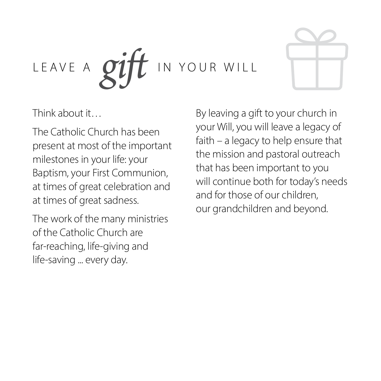



Think about it…

The Catholic Church has been present at most of the important milestones in your life: your Baptism, your First Communion, at times of great celebration and at times of great sadness.

The work of the many ministries of the Catholic Church are far-reaching, life-giving and life-saving ... every day.

By leaving a gift to your church in your Will, you will leave a legacy of faith – a legacy to help ensure that the mission and pastoral outreach that has been important to you will continue both for today's needs and for those of our children, our grandchildren and beyond.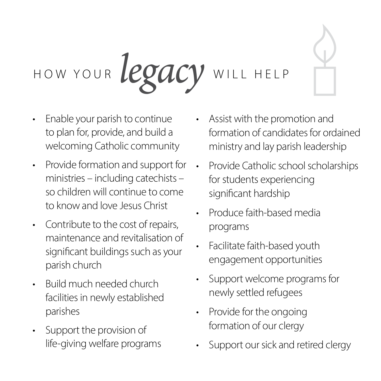# HOW YOUR *legacy* WILL HELP

- Enable your parish to continue to plan for, provide, and build a welcoming Catholic community
- Provide formation and support for ministries – including catechists – so children will continue to come to know and love Jesus Christ
- Contribute to the cost of repairs, maintenance and revitalisation of significant buildings such as your parish church
- Build much needed church facilities in newly established parishes
- Support the provision of life-giving welfare programs
- Assist with the promotion and formation of candidates for ordained ministry and lay parish leadership
- Provide Catholic school scholarships for students experiencing significant hardship
- Produce faith-based media programs
- Facilitate faith-based youth engagement opportunities
- Support welcome programs for newly settled refugees
- Provide for the ongoing formation of our clergy
- Support our sick and retired clergy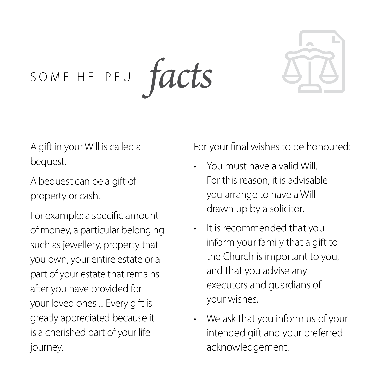*facts* SOME HELPFUL



A gift in your Will is called a bequest.

A bequest can be a gift of property or cash.

For example: a specific amount of money, a particular belonging such as jewellery, property that you own, your entire estate or a part of your estate that remains after you have provided for your loved ones ... Every gift is greatly appreciated because it is a cherished part of your life journey.

For your final wishes to be honoured:

- You must have a valid Will. For this reason, it is advisable you arrange to have a Will drawn up by a solicitor.
- It is recommended that you inform your family that a gift to the Church is important to you, and that you advise any executors and guardians of your wishes.
- We ask that you inform us of your intended gift and your preferred acknowledgement.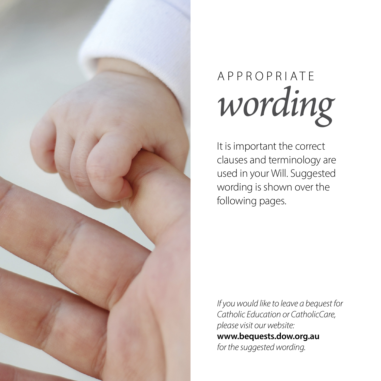

## *wording* APPROPRIATE

It is important the correct clauses and terminology are used in your Will. Suggested wording is shown over the following pages.

*If you would like to leave a bequest for Catholic Education or CatholicCare, please visit our website:*  **www.bequests.dow.org.au** *for the suggested wording.*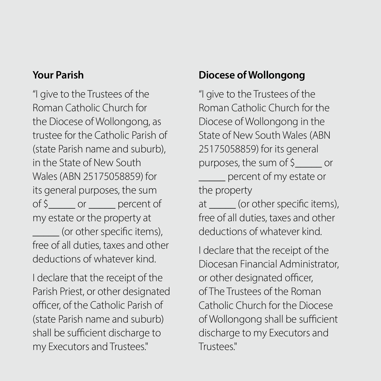#### **Your Parish**

"I give to the Trustees of the Roman Catholic Church for the Diocese of Wollongong, as trustee for the Catholic Parish of (state Parish name and suburb), in the State of New South Wales (ABN 25175058859) for its general purposes, the sum of \$\_\_\_\_\_ or \_\_\_\_\_ percent of my estate or the property at (or other specific items), free of all duties, taxes and other deductions of whatever kind.

I declare that the receipt of the Parish Priest, or other designated officer, of the Catholic Parish of (state Parish name and suburb) shall be sufficient discharge to my Executors and Trustees."

#### **Diocese of Wollongong**

"I give to the Trustees of the Roman Catholic Church for the Diocese of Wollongong in the State of New South Wales (ABN 25175058859) for its general purposes, the sum of \$\_\_\_\_\_ or \_\_\_\_\_ percent of my estate or the property at (or other specific items), free of all duties, taxes and other deductions of whatever kind.

I declare that the receipt of the Diocesan Financial Administrator, or other designated officer, of The Trustees of the Roman Catholic Church for the Diocese of Wollongong shall be sufficient discharge to my Executors and Trustees."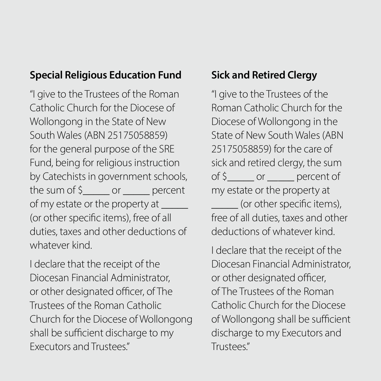#### **Special Religious Education Fund**

"I give to the Trustees of the Roman Catholic Church for the Diocese of Wollongong in the State of New South Wales (ABN 25175058859) for the general purpose of the SRE Fund, being for religious instruction by Catechists in government schools, the sum of  $\sin \theta$  or  $\sin \theta$  percent of my estate or the property at \_\_\_\_\_\_ (or other specific items), free of all duties, taxes and other deductions of whatever kind.

I declare that the receipt of the Diocesan Financial Administrator, or other designated officer, of The Trustees of the Roman Catholic Church for the Diocese of Wollongong shall be sufficient discharge to my Executors and Trustees."

#### **Sick and Retired Clergy**

"I give to the Trustees of the Roman Catholic Church for the Diocese of Wollongong in the State of New South Wales (ABN 25175058859) for the care of sick and retired clergy, the sum of \$\_\_\_\_\_ or \_\_\_\_\_ percent of my estate or the property at (or other specific items), free of all duties, taxes and other deductions of whatever kind.

I declare that the receipt of the Diocesan Financial Administrator, or other designated officer, of The Trustees of the Roman Catholic Church for the Diocese of Wollongong shall be sufficient discharge to my Executors and Trustees."